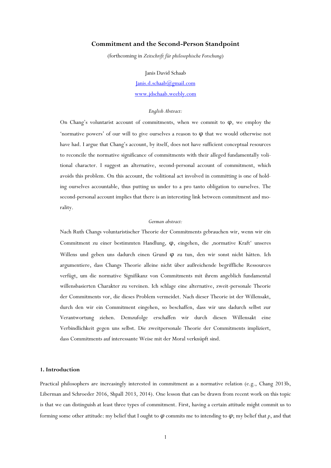# **Commitment and the Second-Person Standpoint**

(forthcoming in *Zeitschrift für philosophische Forschung*)

Janis David Schaab [Janis.d.schaab@gmail.com](mailto:Janis.d.schaab@gmail.com) [www.jdschaab.weebly.com](http://www.jdschaab.weebly.com/)

### *English Abstract:*

On Chang's voluntarist account of commitments, when we commit to φ, we employ the 'normative powers' of our will to give ourselves a reason to  $\varphi$  that we would otherwise not have had. I argue that Chang's account, by itself, does not have sufficient conceptual resources to reconcile the normative significance of commitments with their alleged fundamentally volitional character. I suggest an alternative, second-personal account of commitment, which avoids this problem. On this account, the volitional act involved in committing is one of holding ourselves accountable, thus putting us under to a pro tanto obligation to ourselves. The second-personal account implies that there is an interesting link between commitment and morality.

## *German abstract:*

Nach Ruth Changs voluntaristischer Theorie der Commitments gebrauchen wir, wenn wir ein Commitment zu einer bestimmten Handlung, φ, eingehen, die 'normative Kraft' unseres Willens und geben uns dadurch einen Grund φ zu tun, den wir sonst nicht hätten. Ich argumentiere, dass Changs Theorie alleine nicht über außreichende begriffliche Ressources verfügt, um die normative Signifikanz von Commitments mit ihrem angeblich fundamental willensbasierten Charakter zu vereinen. Ich schlage eine alternative, zweit-personale Theorie der Commitments vor, die dieses Problem vermeidet. Nach dieser Theorie ist der Willensakt, durch den wir ein Commitment eingehen, so beschaffen, dass wir uns dadurch selbst zur Verantwortung ziehen. Demzufolge erschaffen wir durch diesen Willensakt eine Verbindlichkeit gegen uns selbst. Die zweitpersonale Theorie der Commitments impliziert, dass Commitments auf interessante Weise mit der Moral verknüpft sind.

# **1. Introduction**

Practical philosophers are increasingly interested in commitment as a normative relation (e.g., Chang 2013b, Liberman and Schroeder 2016, Shpall 2013, 2014). One lesson that can be drawn from recent work on this topic is that we can distinguish at least three types of commitment. First, having a certain attitude might commit us to forming some other attitude: my belief that I ought to  $\varphi$  commits me to intending to  $\varphi$ ; my belief that  $p$ , and that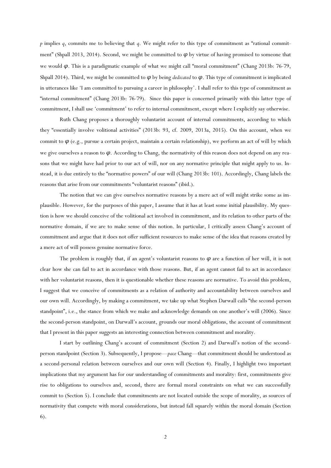*p* implies *q*, commits me to believing that *q*. We might refer to this type of commitment as "rational commitment" (Shpall 2013, 2014). Second, we might be committed to *φ* by virtue of having promised to someone that we would *φ*. This is a paradigmatic example of what we might call "moral commitment" (Chang 2013b: 76-79, Shpall 2014). Third, we might be committed to *φ* by being *dedicated* to *φ*. This type of commitment is implicated in utterances like 'I am committed to pursuing a career in philosophy'. I shall refer to this type of commitment as "internal commitment" (Chang 2013b: 76-79). Since this paper is concerned primarily with this latter type of commitment, I shall use 'commitment' to refer to internal commitment, except where I explicitly say otherwise.

Ruth Chang proposes a thoroughly voluntarist account of internal commitments, according to which they "essentially involve volitional activities" (2013b: 93, cf. 2009, 2013a, 2015). On this account, when we commit to *φ* (e.g., pursue a certain project, maintain a certain relationship), we perform an act of will by which we give ourselves a reason to *φ*. According to Chang, the normativity of this reason does not depend on any reasons that we might have had prior to our act of will, nor on any normative principle that might apply to us. Instead, it is due entirely to the "normative powers" of our will (Chang 2013b: 101). Accordingly, Chang labels the reasons that arise from our commitments "voluntarist reasons" (ibid.).

The notion that we can give ourselves normative reasons by a mere act of will might strike some as implausible. However, for the purposes of this paper, I assume that it has at least some initial plausibility. My question is how we should conceive of the volitional act involved in commitment, and its relation to other parts of the normative domain, if we are to make sense of this notion. In particular, I critically assess Chang's account of commitment and argue that it does not offer sufficient resources to make sense of the idea that reasons created by a mere act of will possess genuine normative force.

The problem is roughly that, if an agent's voluntarist reasons to *φ* are a function of her will, it is not clear how she can fail to act in accordance with those reasons. But, if an agent cannot fail to act in accordance with her voluntarist reasons, then it is questionable whether these reasons are normative. To avoid this problem, I suggest that we conceive of commitments as a relation of authority and accountability between ourselves and our own will. Accordingly, by making a commitment, we take up what Stephen Darwall calls "the second-person standpoint", i.e., the stance from which we make and acknowledge demands on one another's will (2006). Since the second-person standpoint, on Darwall's account, grounds our moral obligations, the account of commitment that I present in this paper suggests an interesting connection between commitment and morality.

I start by outlining Chang's account of commitment (Section 2) and Darwall's notion of the secondperson standpoint (Section 3). Subsequently, I propose—*pace* Chang—that commitment should be understood as a second-personal relation between ourselves and our own will (Section 4). Finally, I highlight two important implications that my argument has for our understanding of commitments and morality: first, commitments give rise to obligations to ourselves and, second, there are formal moral constraints on what we can successfully commit to (Section 5). I conclude that commitments are not located outside the scope of morality, as sources of normativity that compete with moral considerations, but instead fall squarely within the moral domain (Section 6).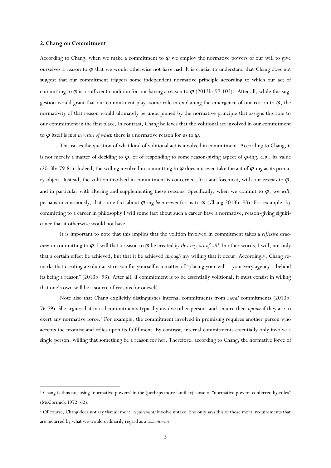### **2. Chang on Commitment**

1

According to Chang, when we make a commitment to  $\varphi$  we employ the normative powers of our will to give ourselves a reason to *φ* that we would otherwise not have had. It is crucial to understand that Chang does not suggest that our commitment triggers some independent normative principle according to which our act of committing to  $\varphi$  is a sufficient condition for our having a reason to  $\varphi$  (2013b: 97-103).<sup>1</sup> After all, while this suggestion would grant that our commitment plays some role in explaining the emergence of our reason to *φ*, the normativity of that reason would ultimately be underpinned by the normative principle that assigns this role to our commitment in the first place. In contrast, Chang believes that the volitional act involved in our commitment to *φ* itself is *that in virtue of which* there is a normative reason for us to *φ*.

This raises the question of what kind of volitional act is involved in commitment. According to Chang, it is not merely a matter of deciding to  $\varphi$ , or of responding to some reason-giving aspect of  $\varphi$ -ing, e.g., its value (2013b: 79-81). Indeed, the willing involved in committing to  $\varphi$  does not even take the act of  $\varphi$ -ing as its primary object. Instead, the volition involved in commitment is concerned, first and foremost, with our *reasons* to *φ*, and in particular with altering and supplementing these reasons. Specifically, when we commit to  $\varphi$ , we *will*, perhaps unconsciously, that some fact about *φ*-ing *be a reason* for us to *φ* (Chang 2013b: 93). For example, by committing to a career in philosophy I will some fact about such a career have a normative, reason-giving significance that it otherwise would not have.

It is important to note that this implies that the volition involved in commitment takes a *reflexive structure*: in committing to *φ*, I will that a reason to *φ* be created *by this very act of will*. In other words, I will, not only that a certain effect be achieved, but that it be achieved *through* my willing that it occur. Accordingly, Chang remarks that creating a voluntarist reason for yourself is a matter of "placing your will—your very agency—behind its being a reason" (2013b: 93). After all, if commitment is to be essentially volitional, it must consist in willing that one's own will be a source of reasons for oneself.

Note also that Chang explicitly distinguishes internal commitments from *moral* commitments (2013b: 76-79). She argues that moral commitments typically involve other persons and require their *uptake* if they are to exert any normative force.<sup>2</sup> For example, the commitment involved in promising requires another person who accepts the promise and relies upon its fulfillment. By contrast, internal commitments essentially only involve a single person, willing that something be a reason for her. Therefore, according to Chang, the normative force of

<sup>&</sup>lt;sup>1</sup> Chang is thus not using 'normative powers' in the (perhaps more familiar) sense of "normative powers conferred by rules" (McCormick 1972: 62).

<sup>2</sup> Of course, Chang does not say that all moral *requirements* involve uptake. She only says this of those moral requirements that are incurred by what we would ordinarily regard as a *commitment*.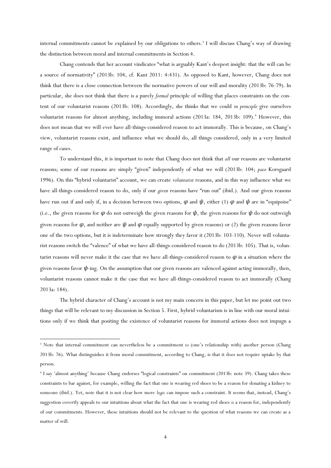internal commitments cannot be explained by our obligations to others.<sup>3</sup> I will discuss Chang's way of drawing the distinction between moral and internal commitments in Section 4.

Chang contends that her account vindicates "what is arguably Kant's deepest insight: that the will can be a source of normativity" (2013b: 104, cf. Kant 2011: 4:431). As opposed to Kant, however, Chang does not think that there is a close connection between the normative powers of our will and morality (2013b: 76-79). In particular, she does not think that there is a purely *formal* principle of willing that places constraints on the content of our voluntarist reasons (2013b: 108). Accordingly, she thinks that we could *in principle* give ourselves voluntarist reasons for almost anything, including immoral actions (2013a: 184, 2013b: 109).<sup>4</sup> However, this does not mean that we will ever have all-things-considered reason to act immorally. This is because, on Chang's view, voluntarist reasons exist, and influence what we should do, all things considered, only in a very limited range of cases.

To understand this, it is important to note that Chang does not think that *all* our reasons are voluntarist reasons; some of our reasons are simply "given" independently of what we will (2013b: 104; *pace* Korsgaard 1996). On this "hybrid voluntarist" account, we can create *voluntarist* reasons, and in this way influence what we have all-things-considered reason to do, only if our *given* reasons have "run out" (ibid.). And our given reasons have run out if and only if, in a decision between two options,  $\varphi$  and  $\psi$ , either (1)  $\varphi$  and  $\psi$  are in "equipoise" (i.e., the given reasons for  $\varphi$  do not outweigh the given reasons for  $\psi$ , the given reasons for  $\psi$  do not outweigh given reasons for *φ*, and neither are *ψ* and *φ* equally supported by given reasons) or (2) the given reasons favor one of the two options, but it is indeterminate how strongly they favor it (2013b: 103-110). Never will voluntarist reasons switch the "valence" of what we have all-things-considered reason to do (2013b: 105). That is, voluntarist reasons will never make it the case that we have all-things-considered reason to *φ* in a situation where the given reasons favor *ψ*-ing. On the assumption that our given reasons are valenced against acting immorally, then, voluntarist reasons cannot make it the case that we have all-things-considered reason to act immorally (Chang 2013a: 184).

The hybrid character of Chang's account is not my main concern in this paper, but let me point out two things that will be relevant to my discussion in Section 5. First, hybrid voluntarism is in line with our moral intuitions only if we think that positing the existence of voluntarist reasons for immoral actions does not impugn a

<sup>&</sup>lt;sup>3</sup> Note that internal commitment can nevertheless be a commitment *to* (one's relationship with) another person (Chang 2013b: 76). What distinguishes it from moral commitment, according to Chang, is that it does not require uptake by that person.

<sup>4</sup> I say 'almost anything' because Chang endorses "logical constraints" on commitment (2013b: note 39). Chang takes these constraints to bar against, for example, willing the fact that one is wearing red shoes to be a reason for donating a kidney to someone (ibid.). Yet, note that it is not clear how mere *logic* can impose such a constraint. It seems that, instead, Chang's suggestion covertly appeals to our intuitions about what the fact that one is wearing red shoes *is* a reason for, independently of our commitments. However, these intuitions should not be relevant to the question of what reasons we can create as a matter of will.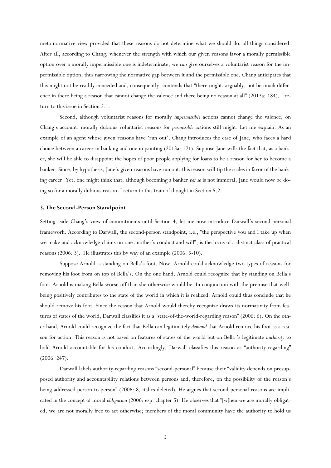meta-normative view provided that these reasons do not determine what we should do, all things considered. After all, according to Chang, whenever the strength with which our given reasons favor a morally permissible option over a morally impermissible one is indeterminate, we *can* give ourselves a voluntarist reason for the impermissible option, thus narrowing the normative gap between it and the permissible one. Chang anticipates that this might not be readily conceded and, consequently, contends that "there might, arguably, not be much difference in there being a reason that cannot change the valence and there being no reason at all" (2013a: 184). I return to this issue in Section 5.1.

Second, although voluntarist reasons for morally *impermissible* actions cannot change the valence, on Chang's account, morally dubious voluntarist reasons for *permissible* actions still might. Let me explain. As an example of an agent whose given reasons have 'run out', Chang introduces the case of Jane, who faces a hard choice between a career in banking and one in painting (2013a: 171). Suppose Jane wills the fact that, as a banker, she will be able to disappoint the hopes of poor people applying for loans to be a reason for her to become a banker. Since, by hypothesis, Jane's given reasons have run out, this reason will tip the scales in favor of the banking career. Yet, one might think that, although becoming a banker *per se* is not immoral, Jane would now be doing so for a morally dubious reason. I return to this train of thought in Section 5.2.

#### **3. The Second-Person Standpoint**

Setting aside Chang's view of commitments until Section 4, let me now introduce Darwall's second-personal framework. According to Darwall, the second-person standpoint, i.e., "the perspective you and I take up when we make and acknowledge claims on one another's conduct and will", is the locus of a distinct class of practical reasons (2006: 3). He illustrates this by way of an example (2006: 5-10).

Suppose Arnold is standing on Bella's foot. Now, Arnold could acknowledge two types of reasons for removing his foot from on top of Bella's. On the one hand, Arnold could recognize that by standing on Bella's foot, Arnold is making Bella worse-off than she otherwise would be. In conjunction with the premise that wellbeing positively contributes to the state of the world in which it is realized, Arnold could thus conclude that he should remove his foot. Since the reason that Arnold would thereby recognize draws its normativity from features of states of the world, Darwall classifies it as a "state-of-the-world-regarding reason" (2006: 6). On the other hand, Arnold could recognize the fact that Bella can legitimately *demand* that Arnold remove his foot as a reason for action. This reason is not based on features of states of the world but on Bella 's legitimate *authority* to hold Arnold accountable for his conduct. Accordingly, Darwall classifies this reason as "authority-regarding" (2006: 247).

Darwall labels authority-regarding reasons "second-personal" because their "validity depends on presupposed authority and accountability relations between persons and, therefore, on the possibility of the reason's being addressed person-to-person" (2006: 8, italics deleted). He argues that second-personal reasons are implicated in the concept of moral *obligation* (2006: esp. chapter 5). He observes that "[w]hen we are morally obligated, we are not morally free to act otherwise; members of the moral community have the authority to hold us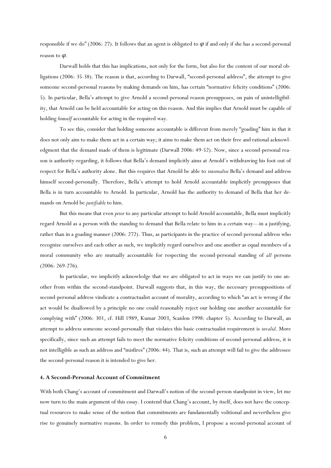responsible if we do" (2006: 27). It follows that an agent is obligated to  $\varphi$  if and only if she has a second-personal reason to *φ*.

Darwall holds that this has implications, not only for the form, but also for the content of our moral obligations (2006: 35-38). The reason is that, according to Darwall, "second-personal address", the attempt to give someone second-personal reasons by making demands on him, has certain "normative felicity conditions" (2006: 5). In particular, Bella's attempt to give Arnold a second-personal reason presupposes, on pain of unintelligibility, that Arnold can be held accountable for acting on this reason. And this implies that Arnold must be capable of holding *himself* accountable for acting in the required way.

To see this, consider that holding someone accountable is different from merely "goading" him in that it does not only aim to make them act in a certain way; it aims to make them act on their free and rational acknowledgment that the demand made of them is legitimate (Darwall 2006: 49-52). Now, since a second-personal reason is authority-regarding, it follows that Bella's demand implicitly aims at Arnold's withdrawing his foot out of respect for Bella's authority alone. But this requires that Arnold be able to *internalise* Bella's demand and address himself second-personally. Therefore, Bella's attempt to hold Arnold accountable implicitly presupposes that Bella is in turn accountable to Arnold*.* In particular, Arnold has the authority to demand of Bella that her demands on Arnold be *justifiable* to him.

But this means that even *prior* to any particular attempt to hold Arnold accountable, Bella must implicitly regard Arnold as a person with the standing to demand that Bella relate to him in a certain way—in a justifying, rather than in a goading manner (2006: 272). Thus, as participants in the practice of second-personal address who recognize ourselves and each other as such, we implicitly regard ourselves and one another as equal members of a moral community who are mutually accountable for respecting the second-personal standing of *all* persons (2006: 269-276).

In particular, we implicitly acknowledge that we are obligated to act in ways we can justify to one another from within the second-standpoint. Darwall suggests that, in this way, the necessary presuppositions of second-personal address vindicate a contractualist account of morality, according to which "an act is wrong if the act would be disallowed by a principle no one could reasonably reject our holding one another accountable for complying with" (2006: 301, cf. Hill 1989, Kumar 2003, Scanlon 1998: chapter 5). According to Darwall, an attempt to address someone second-personally that violates this basic contractualist requirement is *invalid*. More specifically, since such an attempt fails to meet the normative felicity conditions of second-personal address, it is not intelligible as such an address and "misfires" (2006: 44). That is, such an attempt will fail to give the addressee the second-personal reason it is intended to give her.

## **4. A Second-Personal Account of Commitment**

With both Chang's account of commitment and Darwall's notion of the second-person standpoint in view, let me now turn to the main argument of this essay. I contend that Chang's account, by itself, does not have the conceptual resources to make sense of the notion that commitments are fundamentally volitional and nevertheless give rise to genuinely normative reasons. In order to remedy this problem, I propose a second-personal account of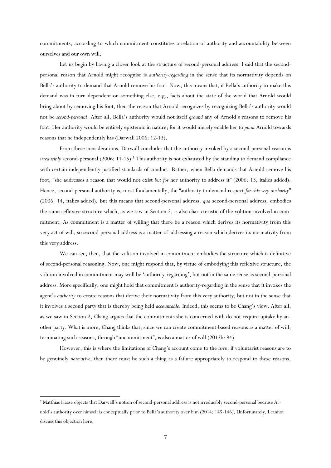commitments, according to which commitment constitutes a relation of authority and accountability between ourselves and our own will.

Let us begin by having a closer look at the structure of second-personal address. I said that the secondpersonal reason that Arnold might recognise is *authority-regarding* in the sense that its normativity depends on Bella's authority to demand that Arnold remove his foot. Now, this means that, if Bella's authority to make this demand was in turn dependent on something else, e.g., facts about the state of the world that Arnold would bring about by removing his foot, then the reason that Arnold recognizes by recognizing Bella's authority would not be *second-personal*. After all, Bella's authority would not itself *ground* any of Arnold's reasons to remove his foot. Her authority would be entirely epistemic in nature; for it would merely enable her to *point* Arnold towards reasons that he independently has (Darwall 2006: 12-13).

From these considerations, Darwall concludes that the authority invoked by a second-personal reason is *irreducibly* second-personal (2006: 11-15).<sup>5</sup> This authority is not exhausted by the standing to demand compliance with certain independently justified standards of conduct. Rather, when Bella demands that Arnold remove his foot, "she addresses a reason that would not exist *but for* her authority to address it" (2006: 13, italics added). Hence, second-personal authority is, most fundamentally, the "authority to demand respect *for this very authority*" (2006: 14, italics added). But this means that second-personal address, *qua* second-personal address, embodies the same reflexive structure which, as we saw in Section 2, is also characteristic of the volition involved in commitment. As commitment is a matter of willing that there be a reason which derives its normativity from this very act of will, so second-personal address is a matter of addressing a reason which derives its normativity from this very address.

We can see, then, that the volition involved in commitment embodies the structure which is definitive of second-personal reasoning. Now, one might respond that, by virtue of embodying this reflexive structure, the volition involved in commitment may well be 'authority-regarding', but not in the same sense as second-personal address. More specifically, one might hold that commitment is authority-regarding in the sense that it invokes the agent's *authority* to create reasons that derive their normativity from this very authority, but not in the sense that it involves a second party that is thereby being held *accountable*. Indeed, this seems to be Chang's view. After all, as we saw in Section 2, Chang argues that the commitments she is concerned with do not require uptake by another party. What is more, Chang thinks that, since we can create commitment-based reasons as a matter of will, terminating such reasons, through "uncommitment", is also a matter of will (2013b: 94).

However, this is where the limitations of Chang's account come to the fore: if voluntarist reasons are to be genuinely *normative*, then there must be such a thing as a failure appropriately to respond to these reasons.

<sup>5</sup> Matthias Haase objects that Darwall's notion of second-personal address is not irreducibly second-personal because Arnold's authority over himself is conceptually prior to Bella's authority over him (2014: 145-146). Unfortunately, I cannot discuss this objection here.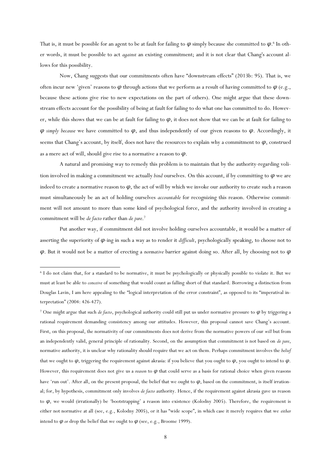That is, it must be possible for an agent to be at fault for failing to  $\varphi$  simply because she committed to  $\varphi$ .<sup>6</sup> In other words, it must be possible to act *against* an existing commitment; and it is not clear that Chang's account allows for this possibility.

Now, Chang suggests that our commitments often have "downstream effects" (2013b: 95). That is, we often incur new 'given' reasons to  $\varphi$  through actions that we perform as a result of having committed to  $\varphi$  (e.g., because these actions give rise to new expectations on the part of others). One might argue that these downstream effects account for the possibility of being at fault for failing to do what one has committed to do. However, while this shows that we can be at fault for failing to  $\varphi$ , it does not show that we can be at fault for failing to *φ simply because* we have committed to *φ*, and thus independently of our given reasons to *φ*. Accordingly, it seems that Chang's account, by itself, does not have the resources to explain why a commitment to *φ*, construed as a mere act of will, should give rise to a normative a reason to *φ*.

A natural and promising way to remedy this problem is to maintain that by the authority-regarding volition involved in making a commitment we actually *bind* ourselves. On this account, if by committing to *φ* we are indeed to create a normative reason to  $\varphi$ , the act of will by which we invoke our authority to create such a reason must simultaneously be an act of holding ourselves *accountable* for recognizing this reason. Otherwise commitment will not amount to more than some kind of psychological force, and the authority involved in creating a commitment will be *de facto* rather than *de jure*. 7

Put another way, if commitment did not involve holding ourselves accountable, it would be a matter of asserting the superiority of *φ*-ing in such a way as to render it *difficult*, psychologically speaking, to choose not to *φ*. But it would not be a matter of erecting a *normative* barrier against doing so. After all, by choosing not to *φ*

<sup>6</sup> I do not claim that, for a standard to be normative, it must be psychologically or physically possible to violate it. But we must at least be able to *conceive* of something that would count as falling short of that standard. Borrowing a distinction from Douglas Lavin, I am here appealing to the "logical interpretation of the error constraint", as opposed to its "imperatival interpretation" (2004: 426-427).

<sup>7</sup> One might argue that such *de facto*, psychological authority could still put us under normative pressure to *φ* by triggering a rational requirement demanding consistency among our attitudes. However, this proposal cannot save Chang's account. First, on this proposal, the normativity of our commitments does not derive from the normative powers of our *will* but from an independently valid, general principle of rationality. Second, on the assumption that commitment is not based on *de jure*, normative authority, it is unclear why rationality should require that we act on them. Perhaps commitment involves the *belief* that we ought to *φ*, triggering the requirement against akrasia: if you believe that you ought to *φ*, you ought to intend to *φ*. However, this requirement does not give us a *reason* to *φ* that could serve as a basis for rational choice when given reasons have 'run out'. After all, on the present proposal, the belief that we ought to *φ*, based on the commitment, is itself irrational; for, by hypothesis, commitment only involves *de facto* authority. Hence, if the requirement against akrasia gave us reason to *φ*, we would (irrationally) be 'bootstrapping' a reason into existence (Kolodny 2005). Therefore, the requirement is either not normative at all (see, e.g., Kolodny 2005), or it has "wide scope", in which case it merely requires that we *either* intend to  $\varphi$  *or* drop the belief that we ought to  $\varphi$  (see, e.g., Broome 1999).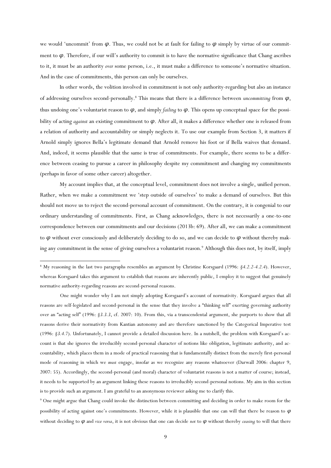we would 'uncommit' from  $\varphi$ . Thus, we could not be at fault for failing to  $\varphi$  simply by virtue of our commitment to *φ*. Therefore, if our will's authority to commit is to have the normative significance that Chang ascribes to it, it must be an authority *over* some person, i.e., it must make a difference to someone's normative situation. And in the case of commitments, this person can only be ourselves.

In other words, the volition involved in commitment is not only authority-regarding but also an instance of addressing ourselves second-personally.<sup>8</sup> This means that there is a difference between *uncommitting* from *φ*, thus undoing one's voluntarist reason to *φ*, and simply *failing* to *φ*. This opens up conceptual space for the possibility of acting *against* an existing commitment to *φ*. After all, it makes a difference whether one is released from a relation of authority and accountability or simply neglects it. To use our example from Section 3, it matters if Arnold simply ignores Bella's legitimate demand that Arnold remove his foot or if Bella waives that demand. And, indeed, it seems plausible that the same is true of commitments. For example, there seems to be a difference between ceasing to pursue a career in philosophy despite my commitment and changing my commitments (perhaps in favor of some other career) altogether.

My account implies that, at the conceptual level, commitment does not involve a single, unified person. Rather, when we make a commitment we 'step outside of ourselves' to make a demand of ourselves. But this should not move us to reject the second-personal account of commitment. On the contrary, it is congenial to our ordinary understanding of commitments. First, as Chang acknowledges, there is not necessarily a one-to-one correspondence between our commitments and our decisions (2013b: 69). After all, we can make a commitment to *φ* without ever consciously and deliberately deciding to do so, and we can decide to *φ* without thereby making any commitment in the sense of giving ourselves a voluntarist reason.<sup>9</sup> Although this does not, by itself, imply

 $\overline{a}$ 

One might wonder why I am not simply adopting Korsgaard's account of normativity. Korsgaard argues that all reasons are self-legislated and second-personal in the sense that they involve a "thinking self" exerting governing authority over an "acting self" (1996: *§3.3.3*, cf. 2007: 10). From this, via a transcendental argument, she purports to show that all reasons derive their normativity from Kantian autonomy and are therefore sanctioned by the Categorical Imperative test (1996: *§3.4.7*). Unfortunately, I cannot provide a detailed discussion here. In a nutshell, the problem with Korsgaard's account is that she ignores the irreducibly second-personal character of notions like obligation, legitimate authority, and accountability, which places them in a mode of practical reasoning that is fundamentally distinct from the merely first-personal mode of reasoning in which we *must* engage, insofar as we recognize any reasons whatsoever (Darwall 2006: chapter 9, 2007: 55). Accordingly, the second-personal (and moral) character of voluntarist reasons is not a matter of course; instead, it needs to be supported by an argument linking these reasons to irreducibly second-personal notions. My aim in this section is to provide such an argument. I am grateful to an anonymous reviewer asking me to clarify this.

<sup>9</sup> One might argue that Chang could invoke the distinction between committing and deciding in order to make room for the possibility of acting against one's commitments. However, while it is plausible that one can will that there be reason to *φ* without deciding to *φ* and *vice versa*, it is not obvious that one can decide *not* to *φ* without thereby *ceasing* to will that there

<sup>8</sup> My reasoning in the last two paragraphs resembles an argument by Christine Korsgaard (1996: *§4.2.2-4.2.4*). However, whereas Korsgaard takes this argument to establish that reasons are inherently public, I employ it to suggest that genuinely normative authority-regarding reasons are second-personal reasons.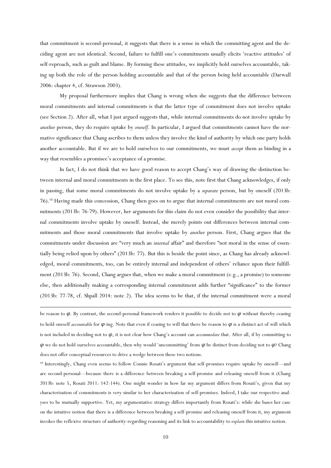that commitment is second-personal, it suggests that there is a sense in which the committing agent and the deciding agent are not identical. Second, failure to fulfill one's commitments usually elicits 'reactive attitudes' of self-reproach, such as guilt and blame. By forming these attitudes, we implicitly hold ourselves accountable, taking up both the role of the person holding accountable and that of the person being held accountable (Darwall 2006: chapter 4, cf. Strawson 2003).

My proposal furthermore implies that Chang is wrong when she suggests that the difference between moral commitments and internal commitments is that the latter type of commitment does not involve uptake (see Section 2). After all, what I just argued suggests that, while internal commitments do not involve uptake by *another* person, they do require uptake by *oneself*. In particular, I argued that commitments cannot have the normative significance that Chang ascribes to them unless they involve the kind of authority by which one party holds another accountable. But if we are to hold ourselves to our commitments, we must *accept* them as binding in a way that resembles a promisee's acceptance of a promise.

In fact, I do not think that we have good reason to accept Chang's way of drawing the distinction between internal and moral commitments in the first place. To see this, note first that Chang acknowledges, if only in passing, that some moral commitments do not involve uptake by a *separate* person, but by oneself (2013b: 76).<sup>10</sup> Having made this concession, Chang then goes on to argue that internal commitments are not moral commitments (2013b: 76-79). However, her arguments for this claim do not even consider the possibility that internal commitments involve uptake by oneself. Instead, she merely points out differences between internal commitments and those moral commitments that involve uptake by *another* person. First, Chang argues that the commitments under discussion are "very much an *internal* affair" and therefore "not moral in the sense of essentially being relied upon by others" (2013b: 77). But this is beside the point since, as Chang has already acknowledged, moral commitments, too, can be entirely internal and independent of others' reliance upon their fulfillment (2013b: 76). Second, Chang argues that, when we make a moral commitment (e.g., a promise) to someone else, then additionally making a corresponding internal commitment adds further "significance" to the former (2013b: 77-78, cf. Shpall 2014: note 2). The idea seems to be that, if the internal commitment were a moral

be reason to *φ*. By contrast, the second-personal framework renders it possible to decide not to *φ* without thereby ceasing to hold oneself *accountable* for *φ*-ing. Note that even if ceasing to will that there be reason to *φ* is a distinct act of will which is not included in deciding not to *φ*, it is not clear how Chang's account can *accommodate* that. After all, if by committing to *φ* we do not hold ourselves accountable, then why would 'uncommitting' from *φ* be distinct from deciding not to *φ*? Chang does not offer conceptual resources to drive a wedge between these two notions.

**.** 

<sup>10</sup> Interestingly, Chang even seems to follow Connie Rosati's argument that self-promises require uptake by oneself—and are second-personal—because there is a difference between breaking a self-promise and releasing oneself from it (Chang 2013b: note 5, Rosati 2011: 142-144). One might wonder in how far my argument differs from Rosati's, given that my characterization of commitments is very similar to her characterization of self-promises. Indeed, I take our respective analyses to be mutually supportive. Yet, my argumentative strategy differs importantly from Rosati's: while she bases her case on the intuitive notion that there is a difference between breaking a self-promise and releasing oneself from it, my argument invokes the reflexive structure of authority-regarding reasoning and its link to accountability to *explain* this intuitive notion.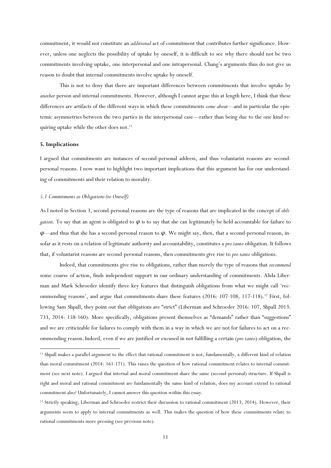commitment, it would not constitute an *additional* act of commitment that contributes further significance. However, unless one neglects the possibility of uptake by oneself, it is difficult to see why there should not be two commitments involving uptake, one interpersonal and one intrapersonal. Chang's arguments thus do not give us reason to doubt that internal commitments involve uptake by oneself.

This is not to deny that there are important differences between commitments that involve uptake by *another* person and internal commitments. However, although I cannot argue this at length here, I think that these differences are artifacts of the different ways in which these commitments *come about*—and in particular the epistemic asymmetries between the two parties in the interpersonal case—rather than being due to the one kind requiring uptake while the other does not. 11

## **5. Implications**

**.** 

I argued that commitments are instances of second-personal address, and thus voluntarist reasons are secondpersonal reasons. I now want to highlight two important implications that this argument has for our understanding of commitments and their relation to morality.

# *5.1 Commitments as Obligations (to Oneself)*

As I noted in Section 3, second-personal reasons are the type of reasons that are implicated in the concept of *obligation*. To say that an agent is obligated to  $\varphi$  is to say that she can legitimately be held accountable for failure to *φ*—and thus that she has a second-personal reason to *φ*. We might say, then, that a second-personal reason, insofar as it rests on a relation of legitimate authority and accountability, constitutes a *pro tanto* obligation. It follows that, if voluntarist reasons are second-personal reasons, then commitments give rise to *pro tanto* obligations.

Indeed, that commitments give rise to obligations, rather than merely the type of reasons that *recommend* some course of action, finds independent support in our ordinary understanding of commitments. Alida Liberman and Mark Schroeder identify three key features that distinguish obligations from what we might call 'recommending reasons', and argue that commitments share these features (2016: 107-108, 117-118).<sup>12</sup> First, following Sam Shpall, they point out that obligations are "strict" (Liberman and Schroeder 2016: 107, Shpall 2013: 733, 2014: 158-160). More specifically, obligations present themselves as "demands" rather than "suggestions" and we are criticizable for failures to comply with them in a way in which we are not for failures to act on a recommending reason.Indeed, even if we are justified or excused in not fulfilling a certain (*pro tanto*) obligation, the

<sup>11</sup> Shpall makes a parallel argument to the effect that rational commitment is not, fundamentally, a different kind of relation than moral commitment (2014: 161-171). This raises the question of how rational commitment relates to internal commitment (see next note). I argued that internal and moral commitment share the same (second-personal) structure. If Shpall is right and moral and rational commitment are fundamentally the same kind of relation, does my account extend to rational commitment also? Unfortunately, I cannot answer this question within this essay.

<sup>&</sup>lt;sup>12</sup> Strictly speaking, Liberman and Schroeder restrict their discussion to rational commitment (2013, 2014). However, their arguments seem to apply to internal commitments as well. This makes the question of how these commitments relate to rational commitments more pressing (see previous note).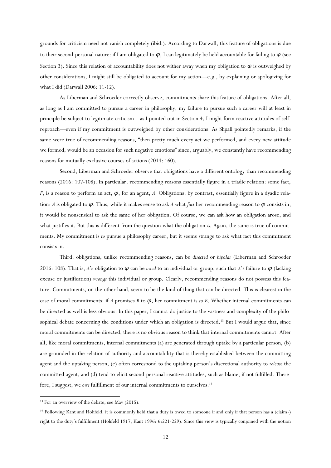grounds for criticism need not vanish completely (ibid.). According to Darwall, this feature of obligations is due to their second-personal nature: if I am obligated to *φ*, I can legitimately be held accountable for failing to *φ* (see Section 3). Since this relation of accountability does not wither away when my obligation to *φ* is outweighed by other considerations, I might still be obligated to account for my action—e.g., by explaining or apologizing for what I did (Darwall 2006: 11-12).

As Liberman and Schroeder correctly observe, commitments share this feature of obligations. After all, as long as I am committed to pursue a career in philosophy, my failure to pursue such a career will at least in principle be subject to legitimate criticism—as I pointed out in Section 4, I might form reactive attitudes of selfreproach—even if my commitment is outweighed by other considerations. As Shpall pointedly remarks, if the same were true of recommending reasons, "then pretty much every act we performed, and every new attitude we formed, would be an occasion for such negative emotions" since, arguably, we constantly have recommending reasons for mutually exclusive courses of actions (2014: 160).

Second, Liberman and Schroeder observe that obligations have a different ontology than recommending reasons (2016: 107-108). In particular, recommending reasons essentially figure in a triadic relation: some fact, *F*, is a reason to perform an act,  $\varphi$ , for an agent, *A*. Obligations, by contrast, essentially figure in a dyadic relation: *A* is obligated to  $\varphi$ . Thus, while it makes sense to ask *A* what *fact* her recommending reason to  $\varphi$  consists in, it would be nonsensical to ask the same of her obligation. Of course, we can ask how an obligation arose, and what justifies it. But this is different from the question what the obligation *is*. Again, the same is true of commitments. My commitment is *to* pursue a philosophy career, but it seems strange to ask what fact this commitment consists in.

Third, obligations, unlike recommending reasons, can be *directed* or *bipolar* (Liberman and Schroeder 2016: 108). That is, *A*'s obligation to *φ* can be *owed* to an individual or group, such that *A*'s failure to *φ* (lacking excuse or justification) *wrongs* this individual or group. Clearly, recommending reasons do not possess this feature. Commitments, on the other hand, seem to be the kind of thing that can be directed. This is clearest in the case of moral commitments: if *A* promises *B* to  $\varphi$ , her commitment is *to B*. Whether internal commitments can be directed as well is less obvious. In this paper, I cannot do justice to the vastness and complexity of the philosophical debate concerning the conditions under which an obligation is directed.<sup>13</sup> But I would argue that, since moral commitments can be directed, there is no obvious reason to think that internal commitments cannot. After all, like moral commitments, internal commitments (a) are generated through uptake by a particular person, (b) are grounded in the relation of authority and accountability that is thereby established between the committing agent and the uptaking person, (c) often correspond to the uptaking person's discretional authority to *release* the committed agent, and (d) tend to elicit second-personal reactive attitudes, such as blame, if not fulfilled. Therefore, I suggest, we *owe* fulfillment of our internal commitments to ourselves.<sup>14</sup>

<sup>&</sup>lt;sup>13</sup> For an overview of the debate, see May (2015).

<sup>14</sup> Following Kant and Hohfeld, it is commonly held that a duty is owed to someone if and only if that person has a (claim-) right to the duty's fulfillment (Hohfeld 1917, Kant 1996: 6:221-229). Since this view is typically conjoined with the notion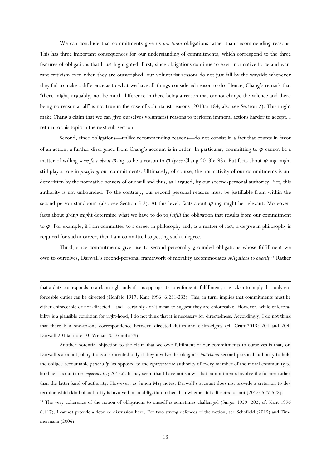We can conclude that commitments give us *pro tanto* obligations rather than recommending reasons. This has three important consequences for our understanding of commitments, which correspond to the three features of obligations that I just highlighted. First, since obligations continue to exert normative force and warrant criticism even when they are outweighed, our voluntarist reasons do not just fall by the wayside whenever they fail to make a difference as to what we have all-things-considered reason to do. Hence, Chang's remark that "there might, arguably, not be much difference in there being a reason that cannot change the valence and there being no reason at all" is not true in the case of voluntarist reasons (2013a: 184, also see Section 2). This might make Chang's claim that we can give ourselves voluntarist reasons to perform immoral actions harder to accept. I return to this topic in the next sub-section.

Second, since obligations—unlike recommending reasons—do not consist in a fact that counts in favor of an action, a further divergence from Chang's account is in order. In particular, committing to *φ* cannot be a matter of willing *some fact about φ-ing* to be a reason to *φ* (*pace* Chang 2013b: 93). But facts about *φ*-ing might still play a role in *justifying* our commitments. Ultimately, of course, the normativity of our commitments is underwritten by the normative powers of our will and thus, as I argued, by our second-personal authority. Yet, this authority is not unbounded. To the contrary, our second-personal reasons must be justifiable from within the second-person standpoint (also see Section 5.2). At this level, facts about  $\varphi$ -ing might be relevant. Moreover, facts about *φ*-ing might determine what we have to do to *fulfill* the obligation that results from our commitment to *φ*. For example, if I am committed to a career in philosophy and, as a matter of fact, a degree in philosophy is required for such a career, then I am committed to getting such a degree.

Third, since commitments give rise to second-personally grounded obligations whose fulfillment we owe to ourselves, Darwall's second-personal framework of morality accommodates *obligations to oneself*. <sup>15</sup> Rather

**.** 

that a duty corresponds to a claim-right only if it is appropriate to enforce its fulfillment, it is taken to imply that only enforceable duties can be directed (Hohfeld 1917, Kant 1996: 6:231-233). This, in turn, implies that commitments must be either enforceable or non-directed—and I certainly don't mean to suggest they are enforceable. However, while enforceability is a plausible condition for right-hood, I do not think that it is necessary for directedness. Accordingly, I do not think that there is a one-to-one correspondence between directed duties and claim-rights (cf. Cruft [2013:](https://link.springer.com/article/10.1007/s11098-017-0857-x#CR2) 204 and 209, Darwall [2013a](https://link.springer.com/article/10.1007/s11098-017-0857-x#CR6): note 10, Wenar 2013: note 24).

Another potential objection to the claim that we owe fulfilment of our commitments to ourselves is that, on Darwall's account, obligations are directed only if they involve the obligor's *individual* second-personal authority to hold the obligee accountable *personally* (as opposed to the *representative* authority of every member of the moral community to hold her accountable *impersonally*; 2013a). It may seem that I have not shown that commitments involve the former rather than the latter kind of authority. However, as Simon May notes, Darwall's account does not provide a criterion to determine which kind of authority is involved in an obligation, other than whether it is directed or not (2015: 527-528).

<sup>15</sup> The very coherence of the notion of obligations to oneself is sometimes challenged (Singer 1959: 202, cf. Kant 1996 6:417). I cannot provide a detailed discussion here. For two strong defences of the notion, see Schofield (2015) and Timmermann (2006).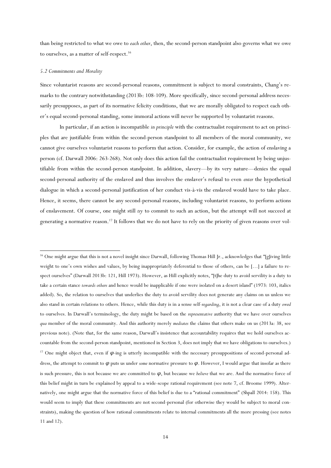than being restricted to what we owe to *each other*, then, the second-person standpoint also governs what we owe to ourselves, as a matter of self-respect.<sup>16</sup>

#### *5.2 Commitments and Morality*

 $\overline{a}$ 

Since voluntarist reasons are second-personal reasons, commitment is subject to moral constraints, Chang's remarks to the contrary notwithstanding (2013b: 108-109). More specifically, since second-personal address necessarily presupposes, as part of its normative felicity conditions, that we are morally obligated to respect each other's equal second-personal standing, some immoral actions will never be supported by voluntarist reasons.

In particular, if an action is incompatible *in principle* with the contractualist requirement to act on principles that are justifiable from within the second-person standpoint to all members of the moral community, we cannot give ourselves voluntarist reasons to perform that action. Consider, for example, the action of enslaving a person (cf. Darwall 2006: 263-268). Not only does this action fail the contractualist requirement by being unjustifiable from within the second-person standpoint. In addition, slavery—by its very nature—denies the equal second-personal authority of the enslaved and thus involves the enslaver's refusal to even *enter* the hypothetical dialogue in which a second-personal justification of her conduct vis-à-vis the enslaved would have to take place. Hence, it seems, there cannot be any second-personal reasons, including voluntarist reasons, to perform actions of enslavement. Of course, one might still *try* to commit to such an action, but the attempt will not succeed at generating a normative reason.<sup>17</sup> It follows that we do not have to rely on the priority of given reasons over vol-

<sup>&</sup>lt;sup>16</sup> One might argue that this is not a novel insight since Darwall, following Thomas Hill Jr., acknowledges that "[g]iving little weight to one's own wishes and values, by being inappropriately deferential to those of others, can be […] a failure to respect ourselves" (Darwall 2013b: 121, Hill 1973). However, as Hill explicitly notes, "[t]he duty to avoid servility is a duty to take a certain stance *towards others* and hence would be inapplicable if one were isolated on a desert island" (1973: 103, italics added). So, the relation to ourselves that underlies the duty to avoid servility does not generate any claims on us unless we also stand in certain relations to others. Hence, while this duty is in a sense self-*regarding*, it is not a clear case of a duty *owed* to ourselves. In Darwall's terminology, the duty might be based on the *representative* authority that we have over ourselves *qua* member of the moral community. And this authority merely *mediates* the claims that others make on us (2013a: 38, see previous note). (Note that, for the same reason, Darwall's insistence that accountability requires that we hold ourselves accountable from the second-person standpoint, mentioned in Section 3, does not imply that we have obligations to ourselves.) <sup>17</sup> One might object that, even if *φ*-ing is utterly incompatible with the necessary presuppositions of second-personal address, the attempt to commit to *φ* puts us under *some* normative pressure to *φ*. However, I would argue that insofar as there is such pressure, this is not because we are committed to *φ*, but because we *believe* that we are. And the normative force of this belief might in turn be explained by appeal to a wide-scope rational requirement (see note 7, cf. Broome 1999). Alternatively, one might argue that the normative force of this belief is due to a "rational commitment" (Shpall 2014: 158). This would seem to imply that these commitments are not second-personal (for otherwise they would be subject to moral constraints), making the question of how rational commitments relate to internal commitments all the more pressing (see notes 11 and 12).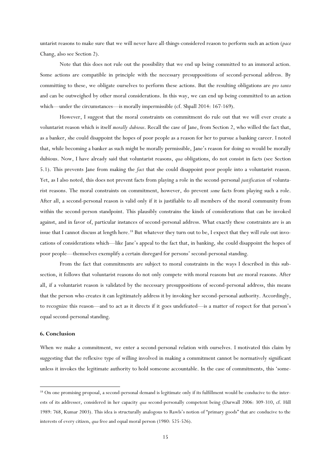untarist reasons to make sure that we will never have all-things-considered reason to perform such an action (*pace* Chang, also see Section 2).

Note that this does not rule out the possibility that we end up being committed to an immoral action. Some actions are compatible in principle with the necessary presuppositions of second-personal address. By committing to these, we obligate ourselves to perform these actions. But the resulting obligations are *pro tanto* and can be outweighed by other moral considerations. In this way, we can end up being committed to an action which—under the circumstances—is morally impermissible (cf. Shpall 2014: 167-169).

However, I suggest that the moral constraints on commitment do rule out that we will ever create a voluntarist reason which is itself *morally dubious*. Recall the case of Jane, from Section 2, who willed the fact that, as a banker, she could disappoint the hopes of poor people as a reason for her to pursue a banking career. I noted that, while becoming a banker as such might be morally permissible, Jane's reason for doing so would be morally dubious. Now, I have already said that voluntarist reasons, *qua* obligations, do not consist in facts (see Section 5.1). This prevents Jane from making the *fact* that she could disappoint poor people into a voluntarist reason. Yet, as I also noted, this does not prevent facts from playing a role in the second-personal *justification* of voluntarist reasons. The moral constraints on commitment, however, do prevent *some* facts from playing such a role. After all, a second-personal reason is valid only if it is justifiable to all members of the moral community from within the second-person standpoint. This plausibly constrains the kinds of considerations that can be invoked against, and in favor of, particular instances of second-personal address. What exactly these constraints are is an issue that I cannot discuss at length here.<sup>18</sup> But whatever they turn out to be, I expect that they will rule out invocations of considerations which—like Jane's appeal to the fact that, in banking, she could disappoint the hopes of poor people—themselves exemplify a certain disregard for persons' second-personal standing.

From the fact that commitments are subject to moral constraints in the ways I described in this subsection, it follows that voluntarist reasons do not only compete with moral reasons but *are* moral reasons. After all, if a voluntarist reason is validated by the necessary presuppositions of second-personal address, this means that the person who creates it can legitimately address it by invoking her second-personal authority. Accordingly, to recognize this reason—and to act as it directs if it goes undefeated—is a matter of respect for that person's equal second-personal standing.

# **6. Conclusion**

1

When we make a commitment, we enter a second-personal relation with ourselves. I motivated this claim by suggesting that the reflexive type of willing involved in making a commitment cannot be normatively significant unless it invokes the legitimate authority to hold someone accountable. In the case of commitments, this 'some-

<sup>&</sup>lt;sup>18</sup> On one promising proposal, a second-personal demand is legitimate only if its fulfillment would be conducive to the interests of its addresser, considered in her capacity *qua* second-personally competent being (Darwall 2006: 309-310, cf. Hill 1989: 768, Kumar 2003). This idea is structurally analogous to Rawls's notion of "primary goods" that are conducive to the interests of every citizen, *qua* free and equal moral person (1980: 525-526).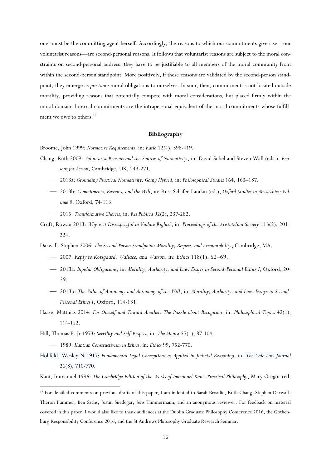one' must be the committing agent herself. Accordingly, the reasons to which our commitments give rise—our voluntarist reasons—are second-personal reasons. It follows that voluntarist reasons are subject to the moral constraints on second-personal address: they have to be justifiable to all members of the moral community from within the second-person standpoint. More positively, if these reasons are validated by the second-person standpoint, they emerge as *pro tanto* moral obligations to ourselves. In sum, then, commitment is not located outside morality, providing reasons that potentially compete with moral considerations, but placed firmly within the moral domain. Internal commitments are the intrapersonal equivalent of the moral commitments whose fulfillment we owe to others.<sup>19</sup>

# **Bibliography**

Broome, John 1999: *Normative Requirements*, in: *Ratio* 12(4), 398-419.

- Chang, Ruth 2009: *Voluntarist Reasons and the Sources of Normativity*, in: David Sobel and Steven Wall (eds.), *Reasons for Action*, Cambridge, UK, 243-271.
	- 2013a: *Grounding Practical Normativity: Going Hybrid*, in: *Philosophical Studies* 164, 163–187.
	- ⎯ 2013b: *Commitments, Reasons, and the Will*, in: Russ Schafer-Landau (ed.), *Oxford Studies in Metaethics: Volume 8*, Oxford, 74-113.
	- ⎯ 2015: *Transformative Choices*, in: *Res Publica* 92(2), 237-282.
- Cruft, Rowan 2013: *Why is it Disrespectful to Violate Rights?*, in: *Proceedings of the Aristotelian Society* 113(2), 201– 224.

Darwall, Stephen 2006: *The Second-Person Standpoint: Morality, Respect, and Accountability*, Cambridge, MA.

- ⎯ 2007: *Reply to Korsgaard, Wallace, and Watson*, in: *Ethics* 118(1), 52–69.
- ⎯ 2013a: *Bipolar Obligations*, in: *Morality, Authority, and Law: Essays in Second*-*Personal Ethics I*, Oxford, 20- 39.
- ⎯ 2013b: *The Value of Autonomy and Autonomy of the Will*, in: *Morality, Authority, and Law: Essays in Second*-*Personal Ethics I*, Oxford, 114-131.
- Haase, Matthias 2014: *For Oneself and Toward Another: The Puzzle about Recogition*, in: *Philosophical Topics* 42(1), 114-152.
- Hill, Thomas E. Jr 1973: *Servility and Self-Respect*, in: *The Monist* 57(1), 87-104.
	- ⎯ 1989: *Kantian Constructivism in Ethics*, in: *Ethics* 99, 752-770.

1

Hohfeld, Wesley N 1917: *Fundamental Legal Conceptions as Applied in Judicial Reasoning*, in: *The Yale Law Journal* 26(8), 710-770.

Kant, Immanuel 1996: *The Cambridge Edition of the Works of Immanuel Kant: Practical Philosophy*, Mary Gregor (ed.

<sup>&</sup>lt;sup>19</sup> For detailed comments on previous drafts of this paper, I am indebted to Sarah Broadie, Ruth Chang, Stephen Darwall, Theron Pummer, Ben Sachs, Justin Snedegar, Jens Timmermann, and an anonymous reviewer. For feedback on material covered in this paper, I would also like to thank audiences at the Dublin Graduate Philosophy Conference 2016, the Gothenburg Responsibility Conference 2016, and the St Andrews Philosophy Graduate Research Seminar.